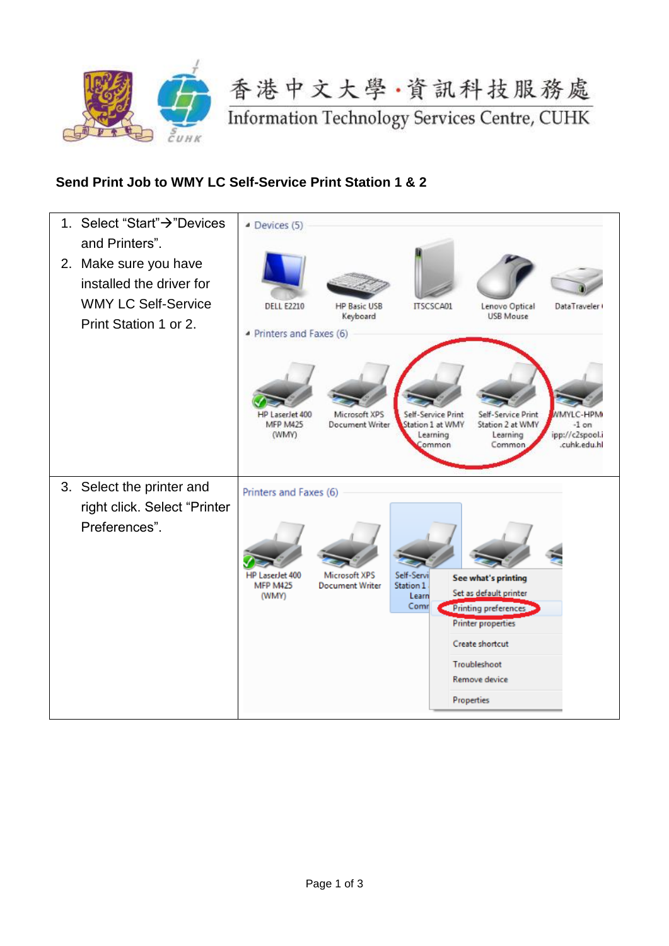

香港中文大學·資訊科技服務處

**Information Technology Services Centre, CUHK** 

## **Send Print Job to WMY LC Self-Service Print Station 1 & 2**

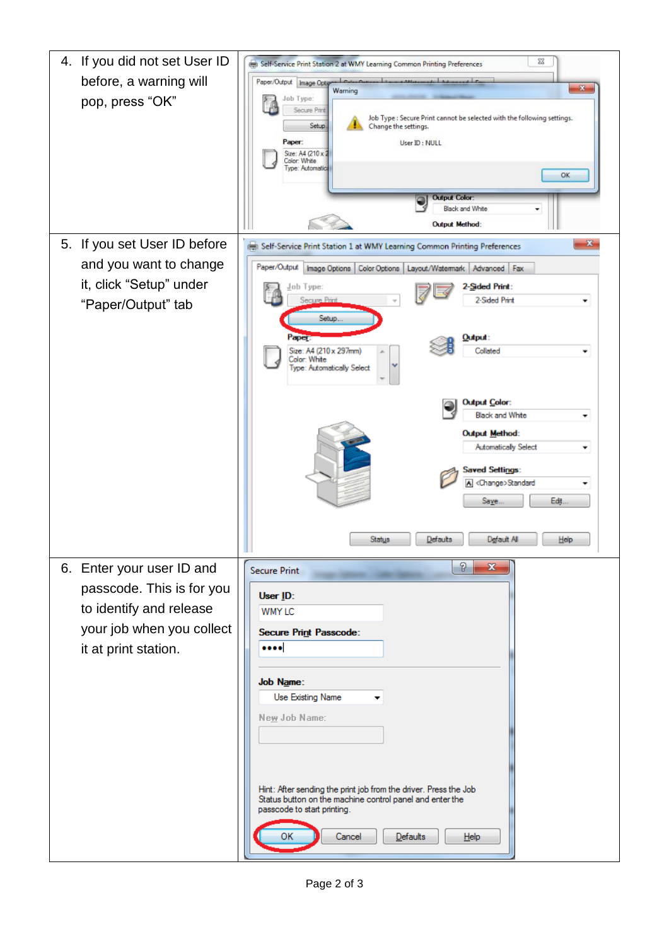